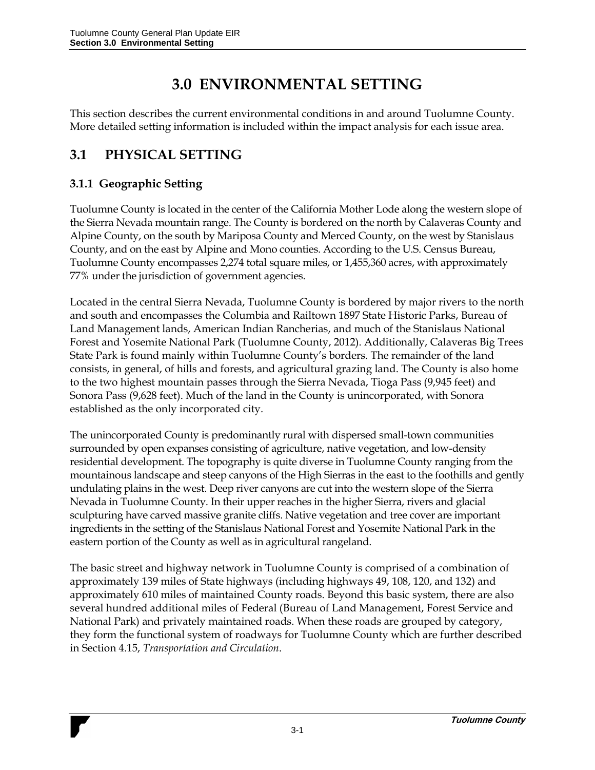# **3.0 ENVIRONMENTAL SETTING**

This section describes the current environmental conditions in and around Tuolumne County. More detailed setting information is included within the impact analysis for each issue area.

# **3.1 PHYSICAL SETTING**

### **3.1.1 Geographic Setting**

Tuolumne County is located in the center of the California Mother Lode along the western slope of the Sierra Nevada mountain range. The County is bordered on the north by Calaveras County and Alpine County, on the south by Mariposa County and Merced County, on the west by Stanislaus County, and on the east by Alpine and Mono counties. According to the U.S. Census Bureau, Tuolumne County encompasses 2,274 total square miles, or 1,455,360 acres, with approximately 77% under the jurisdiction of government agencies.

Located in the central Sierra Nevada, Tuolumne County is bordered by major rivers to the north and south and encompasses the Columbia and Railtown 1897 State Historic Parks, Bureau of Land Management lands, American Indian Rancherias, and much of the Stanislaus National Forest and Yosemite National Park (Tuolumne County, 2012). Additionally, Calaveras Big Trees State Park is found mainly within Tuolumne County's borders. The remainder of the land consists, in general, of hills and forests, and agricultural grazing land. The County is also home to the two highest mountain passes through the Sierra Nevada, Tioga Pass (9,945 feet) and Sonora Pass (9,628 feet). Much of the land in the County is unincorporated, with Sonora established as the only incorporated city.

The unincorporated County is predominantly rural with dispersed small-town communities surrounded by open expanses consisting of agriculture, native vegetation, and low-density residential development. The topography is quite diverse in Tuolumne County ranging from the mountainous landscape and steep canyons of the High Sierras in the east to the foothills and gently undulating plains in the west. Deep river canyons are cut into the western slope of the Sierra Nevada in Tuolumne County. In their upper reaches in the higher Sierra, rivers and glacial sculpturing have carved massive granite cliffs. Native vegetation and tree cover are important ingredients in the setting of the Stanislaus National Forest and Yosemite National Park in the eastern portion of the County as well as in agricultural rangeland.

The basic street and highway network in Tuolumne County is comprised of a combination of approximately 139 miles of State highways (including highways 49, 108, 120, and 132) and approximately 610 miles of maintained County roads. Beyond this basic system, there are also several hundred additional miles of Federal (Bureau of Land Management, Forest Service and National Park) and privately maintained roads. When these roads are grouped by category, they form the functional system of roadways for Tuolumne County which are further described in Section 4.15, *Transportation and Circulation*.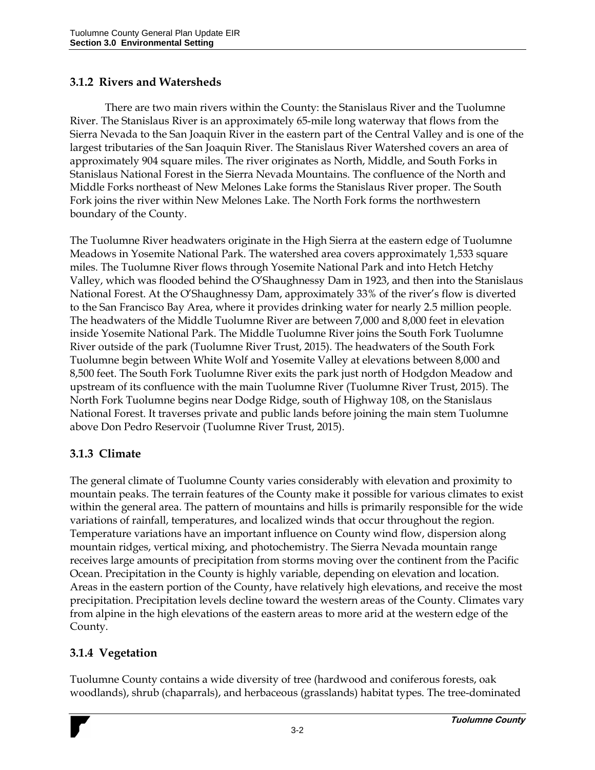#### **3.1.2 Rivers and Watersheds**

There are two main rivers within the County: the Stanislaus River and the Tuolumne River. The Stanislaus River is an approximately 65-mile long waterway that flows from the Sierra Nevada to the San Joaquin River in the eastern part of the Central Valley and is one of the largest tributaries of the San Joaquin River. The Stanislaus River Watershed covers an area of approximately 904 square miles. The river originates as North, Middle, and South Forks in Stanislaus National Forest in the Sierra Nevada Mountains. The confluence of the North and Middle Forks northeast of New Melones Lake forms the Stanislaus River proper. The South Fork joins the river within New Melones Lake. The North Fork forms the northwestern boundary of the County.

The Tuolumne River headwaters originate in the High Sierra at the eastern edge of Tuolumne Meadows in Yosemite National Park. The watershed area covers approximately 1,533 square miles. The Tuolumne River flows through Yosemite National Park and into Hetch Hetchy Valley, which was flooded behind the O'Shaughnessy Dam in 1923, and then into the Stanislaus National Forest. At the O'Shaughnessy Dam, approximately 33% of the river's flow is diverted to the San Francisco Bay Area, where it provides drinking water for nearly 2.5 million people. The headwaters of the Middle Tuolumne River are between 7,000 and 8,000 feet in elevation inside Yosemite National Park. The Middle Tuolumne River joins the South Fork Tuolumne River outside of the park (Tuolumne River Trust, 2015). The headwaters of the South Fork Tuolumne begin between White Wolf and Yosemite Valley at elevations between 8,000 and 8,500 feet. The South Fork Tuolumne River exits the park just north of Hodgdon Meadow and upstream of its confluence with the main Tuolumne River (Tuolumne River Trust, 2015). The North Fork Tuolumne begins near Dodge Ridge, south of Highway 108, on the Stanislaus National Forest. It traverses private and public lands before joining the main stem Tuolumne above Don Pedro Reservoir (Tuolumne River Trust, 2015).

## **3.1.3 Climate**

The general climate of Tuolumne County varies considerably with elevation and proximity to mountain peaks. The terrain features of the County make it possible for various climates to exist within the general area. The pattern of mountains and hills is primarily responsible for the wide variations of rainfall, temperatures, and localized winds that occur throughout the region. Temperature variations have an important influence on County wind flow, dispersion along mountain ridges, vertical mixing, and photochemistry. The Sierra Nevada mountain range receives large amounts of precipitation from storms moving over the continent from the Pacific Ocean. Precipitation in the County is highly variable, depending on elevation and location. Areas in the eastern portion of the County, have relatively high elevations, and receive the most precipitation. Precipitation levels decline toward the western areas of the County. Climates vary from alpine in the high elevations of the eastern areas to more arid at the western edge of the County.

#### **3.1.4 Vegetation**

Tuolumne County contains a wide diversity of tree (hardwood and coniferous forests, oak woodlands), shrub (chaparrals), and herbaceous (grasslands) habitat types. The tree-dominated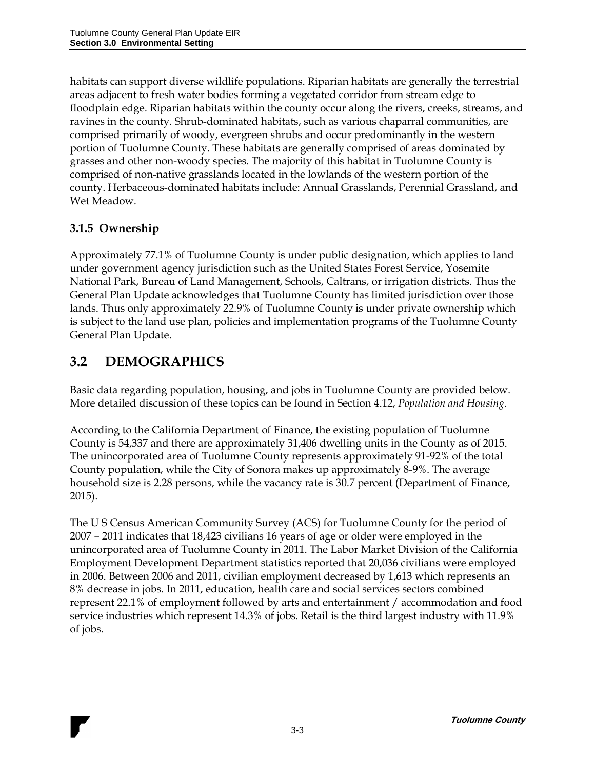habitats can support diverse wildlife populations. Riparian habitats are generally the terrestrial areas adjacent to fresh water bodies forming a vegetated corridor from stream edge to floodplain edge. Riparian habitats within the county occur along the rivers, creeks, streams, and ravines in the county. Shrub-dominated habitats, such as various chaparral communities, are comprised primarily of woody, evergreen shrubs and occur predominantly in the western portion of Tuolumne County. These habitats are generally comprised of areas dominated by grasses and other non-woody species. The majority of this habitat in Tuolumne County is comprised of non-native grasslands located in the lowlands of the western portion of the county. Herbaceous-dominated habitats include: Annual Grasslands, Perennial Grassland, and Wet Meadow.

## **3.1.5 Ownership**

Approximately 77.1% of Tuolumne County is under public designation, which applies to land under government agency jurisdiction such as the United States Forest Service, Yosemite National Park, Bureau of Land Management, Schools, Caltrans, or irrigation districts. Thus the General Plan Update acknowledges that Tuolumne County has limited jurisdiction over those lands. Thus only approximately 22.9% of Tuolumne County is under private ownership which is subject to the land use plan, policies and implementation programs of the Tuolumne County General Plan Update.

# **3.2 DEMOGRAPHICS**

Basic data regarding population, housing, and jobs in Tuolumne County are provided below. More detailed discussion of these topics can be found in Section 4.12, *Population and Housing*.

According to the California Department of Finance, the existing population of Tuolumne County is 54,337 and there are approximately 31,406 dwelling units in the County as of 2015. The unincorporated area of Tuolumne County represents approximately 91-92% of the total County population, while the City of Sonora makes up approximately 8-9%. The average household size is 2.28 persons, while the vacancy rate is 30.7 percent (Department of Finance, 2015).

The U S Census American Community Survey (ACS) for Tuolumne County for the period of 2007 – 2011 indicates that 18,423 civilians 16 years of age or older were employed in the unincorporated area of Tuolumne County in 2011. The Labor Market Division of the California Employment Development Department statistics reported that 20,036 civilians were employed in 2006. Between 2006 and 2011, civilian employment decreased by 1,613 which represents an 8% decrease in jobs. In 2011, education, health care and social services sectors combined represent 22.1% of employment followed by arts and entertainment / accommodation and food service industries which represent 14.3% of jobs. Retail is the third largest industry with 11.9% of jobs.